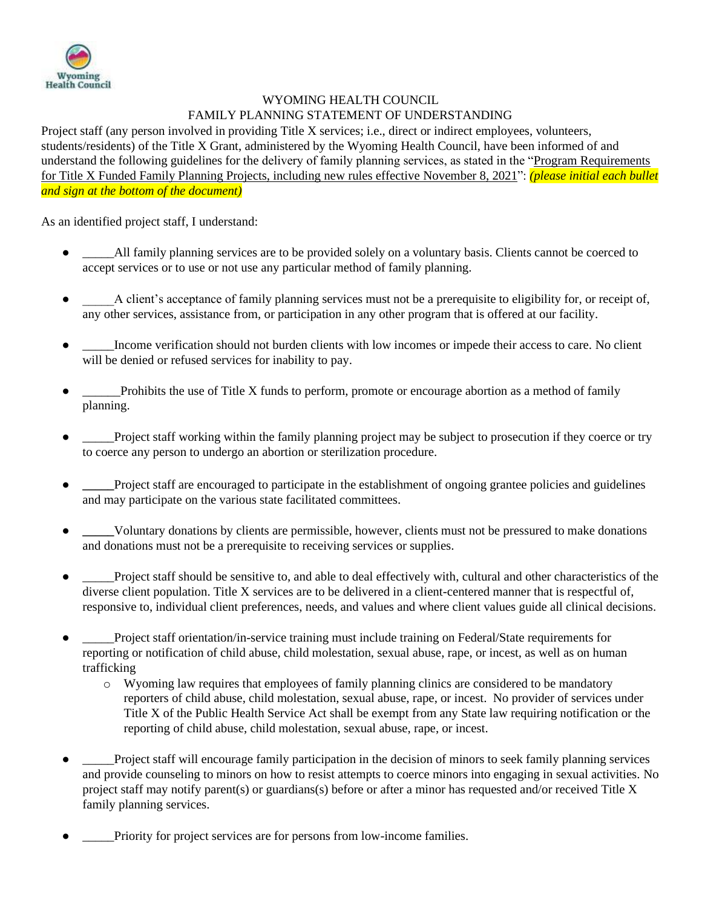

## WYOMING HEALTH COUNCIL FAMILY PLANNING STATEMENT OF UNDERSTANDING

Project staff (any person involved in providing Title X services; i.e., direct or indirect employees, volunteers, students/residents) of the Title X Grant, administered by the Wyoming Health Council, have been informed of and understand the following guidelines for the delivery of family planning services, as stated in the "Program Requirements for Title X Funded Family Planning Projects, including new rules effective November 8, 2021": *(please initial each bullet and sign at the bottom of the document)*

As an identified project staff, I understand:

- All family planning services are to be provided solely on a voluntary basis. Clients cannot be coerced to accept services or to use or not use any particular method of family planning.
- A client's acceptance of family planning services must not be a prerequisite to eligibility for, or receipt of, any other services, assistance from, or participation in any other program that is offered at our facility.
- Income verification should not burden clients with low incomes or impede their access to care. No client will be denied or refused services for inability to pay.
- \_\_\_\_\_Prohibits the use of Title X funds to perform, promote or encourage abortion as a method of family planning.
- Project staff working within the family planning project may be subject to prosecution if they coerce or try to coerce any person to undergo an abortion or sterilization procedure.
- Project staff are encouraged to participate in the establishment of ongoing grantee policies and guidelines and may participate on the various state facilitated committees.
- **\_\_\_\_\_**Voluntary donations by clients are permissible, however, clients must not be pressured to make donations and donations must not be a prerequisite to receiving services or supplies.
- Project staff should be sensitive to, and able to deal effectively with, cultural and other characteristics of the diverse client population. Title X services are to be delivered in a client-centered manner that is respectful of, responsive to, individual client preferences, needs, and values and where client values guide all clinical decisions.
- Project staff orientation/in-service training must include training on Federal/State requirements for reporting or notification of child abuse, child molestation, sexual abuse, rape, or incest, as well as on human trafficking
	- o Wyoming law requires that employees of family planning clinics are considered to be mandatory reporters of child abuse, child molestation, sexual abuse, rape, or incest. No provider of services under Title X of the Public Health Service Act shall be exempt from any State law requiring notification or the reporting of child abuse, child molestation, sexual abuse, rape, or incest.
- Project staff will encourage family participation in the decision of minors to seek family planning services and provide counseling to minors on how to resist attempts to coerce minors into engaging in sexual activities. No project staff may notify parent(s) or guardians(s) before or after a minor has requested and/or received Title X family planning services.
- Priority for project services are for persons from low-income families.